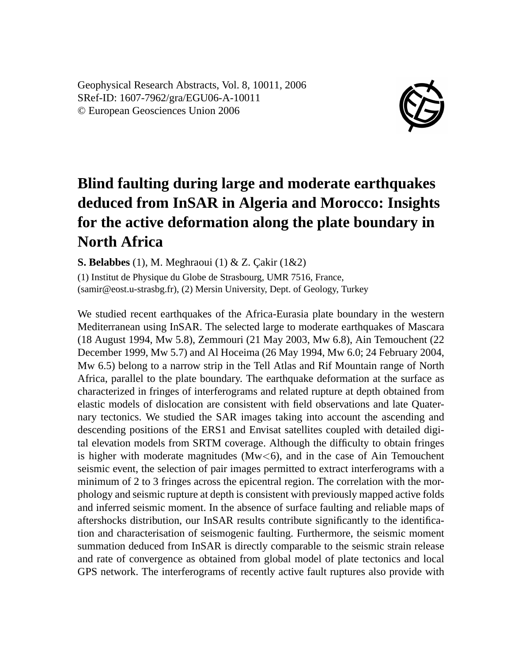Geophysical Research Abstracts, Vol. 8, 10011, 2006 SRef-ID: 1607-7962/gra/EGU06-A-10011 © European Geosciences Union 2006



## **Blind faulting during large and moderate earthquakes deduced from InSAR in Algeria and Morocco: Insights for the active deformation along the plate boundary in North Africa**

**S. Belabbes** (1), M. Meghraoui (1) & Z. Çakir (1&2)

(1) Institut de Physique du Globe de Strasbourg, UMR 7516, France, (samir@eost.u-strasbg.fr), (2) Mersin University, Dept. of Geology, Turkey

We studied recent earthquakes of the Africa-Eurasia plate boundary in the western Mediterranean using InSAR. The selected large to moderate earthquakes of Mascara (18 August 1994, Mw 5.8), Zemmouri (21 May 2003, Mw 6.8), Ain Temouchent (22 December 1999, Mw 5.7) and Al Hoceima (26 May 1994, Mw 6.0; 24 February 2004, Mw 6.5) belong to a narrow strip in the Tell Atlas and Rif Mountain range of North Africa, parallel to the plate boundary. The earthquake deformation at the surface as characterized in fringes of interferograms and related rupture at depth obtained from elastic models of dislocation are consistent with field observations and late Quaternary tectonics. We studied the SAR images taking into account the ascending and descending positions of the ERS1 and Envisat satellites coupled with detailed digital elevation models from SRTM coverage. Although the difficulty to obtain fringes is higher with moderate magnitudes ( $Mw < 6$ ), and in the case of Ain Temouchent seismic event, the selection of pair images permitted to extract interferograms with a minimum of 2 to 3 fringes across the epicentral region. The correlation with the morphology and seismic rupture at depth is consistent with previously mapped active folds and inferred seismic moment. In the absence of surface faulting and reliable maps of aftershocks distribution, our InSAR results contribute significantly to the identification and characterisation of seismogenic faulting. Furthermore, the seismic moment summation deduced from InSAR is directly comparable to the seismic strain release and rate of convergence as obtained from global model of plate tectonics and local GPS network. The interferograms of recently active fault ruptures also provide with